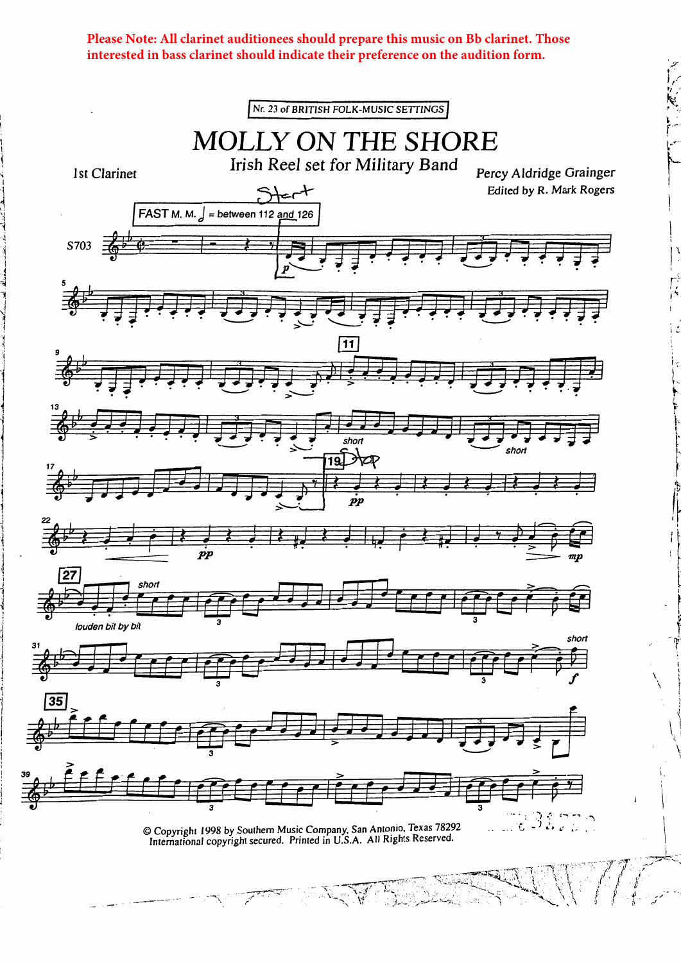Please Note: All clarinet auditionees should prepare this music on Bb clarinet. Those interested in bass clarinet should indicate their preference on the audition form.

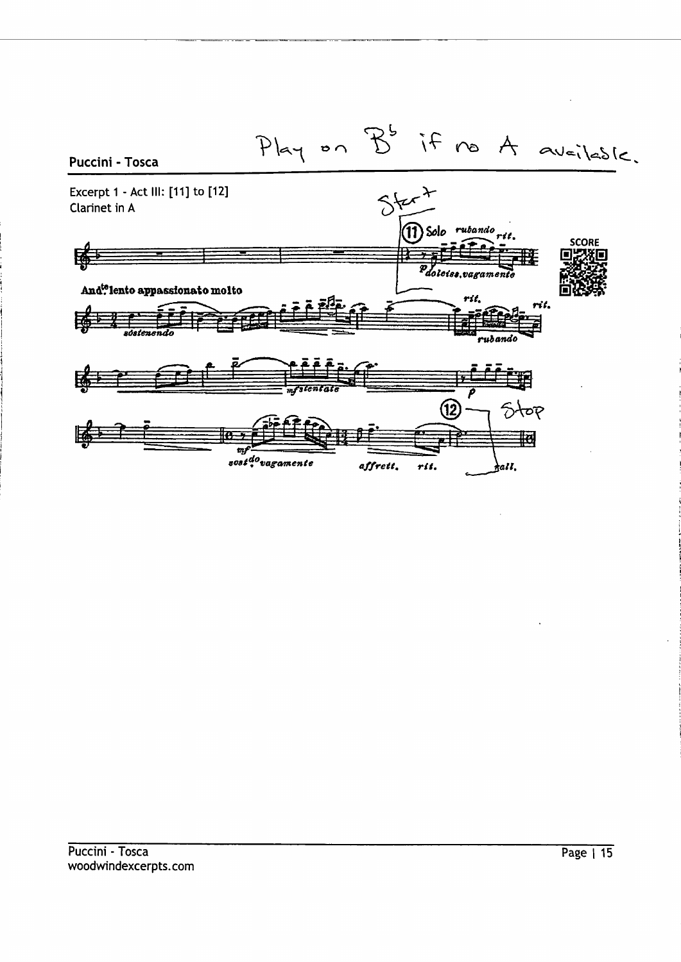